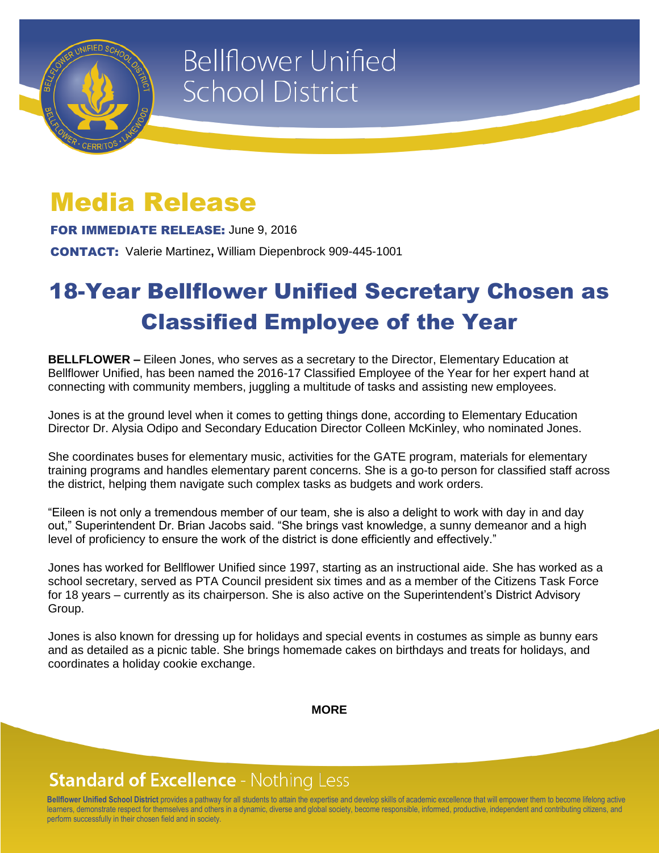

# **Bellflower Unified School District**

### Media Release

FOR IMMEDIATE RELEASE: June 9, 2016

CONTACT: Valerie Martinez**,** William Diepenbrock 909-445-1001

## 18-Year Bellflower Unified Secretary Chosen as Classified Employee of the Year

**BELLFLOWER –** Eileen Jones, who serves as a secretary to the Director, Elementary Education at Bellflower Unified, has been named the 2016-17 Classified Employee of the Year for her expert hand at connecting with community members, juggling a multitude of tasks and assisting new employees.

Jones is at the ground level when it comes to getting things done, according to Elementary Education Director Dr. Alysia Odipo and Secondary Education Director Colleen McKinley, who nominated Jones.

She coordinates buses for elementary music, activities for the GATE program, materials for elementary training programs and handles elementary parent concerns. She is a go-to person for classified staff across the district, helping them navigate such complex tasks as budgets and work orders.

"Eileen is not only a tremendous member of our team, she is also a delight to work with day in and day out," Superintendent Dr. Brian Jacobs said. "She brings vast knowledge, a sunny demeanor and a high level of proficiency to ensure the work of the district is done efficiently and effectively."

Jones has worked for Bellflower Unified since 1997, starting as an instructional aide. She has worked as a school secretary, served as PTA Council president six times and as a member of the Citizens Task Force for 18 years – currently as its chairperson. She is also active on the Superintendent's District Advisory Group.

Jones is also known for dressing up for holidays and special events in costumes as simple as bunny ears and as detailed as a picnic table. She brings homemade cakes on birthdays and treats for holidays, and coordinates a holiday cookie exchange.

**MORE**

#### **Standard of Excellence - Nothing Less**

**Bellflower Unified School District** provides a pathway for all students to attain the expertise and develop skills of academic excellence that will empower them to become lifelong active learners, demonstrate respect for themselves and others in a dynamic, diverse and global society, become responsible, informed, productive, independent and contributing citizens, and perform successfully in their chosen field and in society.